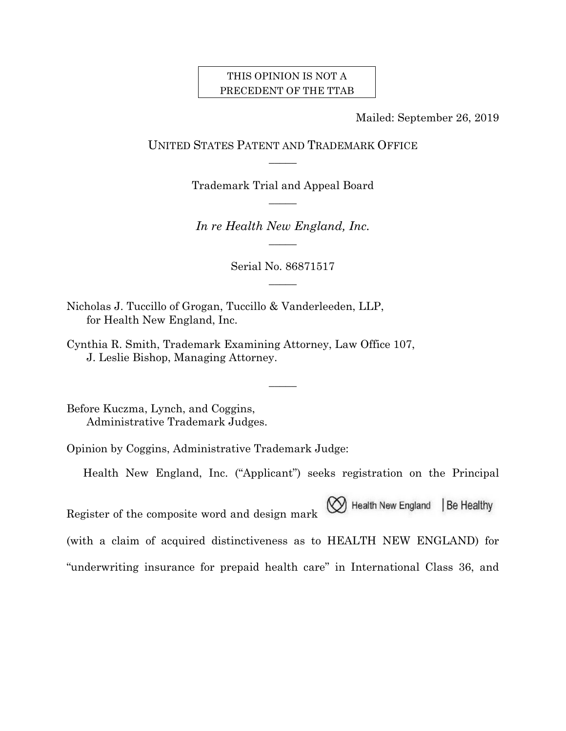### THIS OPINION IS NOT A PRECEDENT OF THE TTAB

Mailed: September 26, 2019

UNITED STATES PATENT AND TRADEMARK OFFICE  $\overline{\phantom{a}}$ 

> Trademark Trial and Appeal Board  $\overline{\phantom{a}}$

*In re Health New England, Inc.*   $\overline{\phantom{a}}$ 

> Serial No. 86871517  $\overline{\phantom{a}}$

> > $\overline{\phantom{a}}$

Nicholas J. Tuccillo of Grogan, Tuccillo & Vanderleeden, LLP, for Health New England, Inc.

Cynthia R. Smith, Trademark Examining Attorney, Law Office 107, J. Leslie Bishop, Managing Attorney.

Before Kuczma, Lynch, and Coggins, Administrative Trademark Judges.

Opinion by Coggins, Administrative Trademark Judge:

Health New England, Inc. ("Applicant") seeks registration on the Principal

M Health New England Be Healthy Register of the composite word and design mark (with a claim of acquired distinctiveness as to HEALTH NEW ENGLAND) for "underwriting insurance for prepaid health care" in International Class 36, and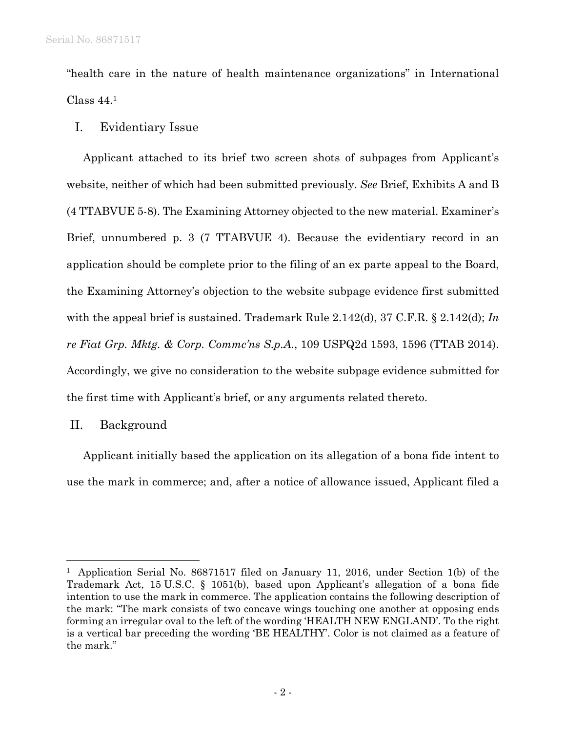"health care in the nature of health maintenance organizations" in International Class 44.1

# I. Evidentiary Issue

Applicant attached to its brief two screen shots of subpages from Applicant's website, neither of which had been submitted previously. *See* Brief, Exhibits A and B (4 TTABVUE 5-8). The Examining Attorney objected to the new material. Examiner's Brief, unnumbered p. 3 (7 TTABVUE 4). Because the evidentiary record in an application should be complete prior to the filing of an ex parte appeal to the Board, the Examining Attorney's objection to the website subpage evidence first submitted with the appeal brief is sustained. Trademark Rule 2.142(d), 37 C.F.R. § 2.142(d); *In re Fiat Grp. Mktg. & Corp. Commc'ns S.p.A.*, 109 USPQ2d 1593, 1596 (TTAB 2014). Accordingly, we give no consideration to the website subpage evidence submitted for the first time with Applicant's brief, or any arguments related thereto.

## II. Background

 $\overline{a}$ 

Applicant initially based the application on its allegation of a bona fide intent to use the mark in commerce; and, after a notice of allowance issued, Applicant filed a

<sup>1</sup> Application Serial No. 86871517 filed on January 11, 2016, under Section 1(b) of the Trademark Act, 15 U.S.C. § 1051(b), based upon Applicant's allegation of a bona fide intention to use the mark in commerce. The application contains the following description of the mark: "The mark consists of two concave wings touching one another at opposing ends forming an irregular oval to the left of the wording 'HEALTH NEW ENGLAND'. To the right is a vertical bar preceding the wording 'BE HEALTHY'. Color is not claimed as a feature of the mark."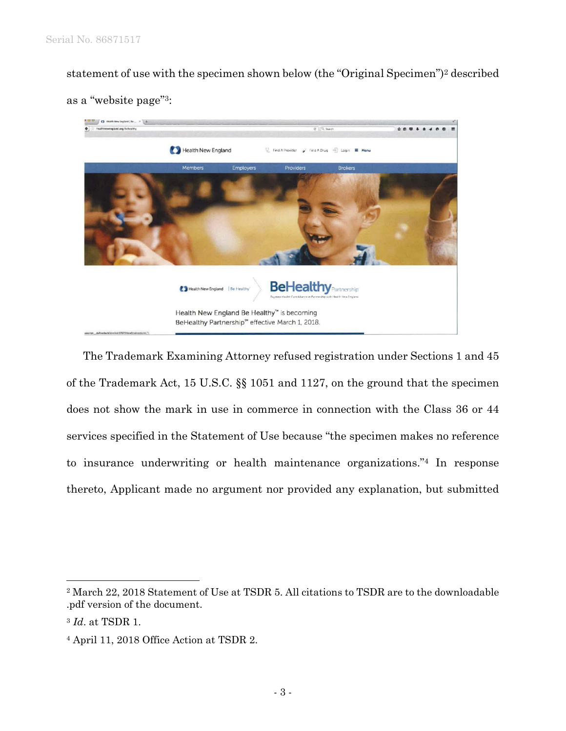statement of use with the specimen shown below (the "Original Specimen")2 described





The Trademark Examining Attorney refused registration under Sections 1 and 45 of the Trademark Act, 15 U.S.C. §§ 1051 and 1127, on the ground that the specimen does not show the mark in use in commerce in connection with the Class 36 or 44 services specified in the Statement of Use because "the specimen makes no reference to insurance underwriting or health maintenance organizations."4 In response thereto, Applicant made no argument nor provided any explanation, but submitted

 $\overline{a}$ 

<sup>2</sup> March 22, 2018 Statement of Use at TSDR 5. All citations to TSDR are to the downloadable .pdf version of the document.

<sup>3</sup> *Id*. at TSDR 1.

<sup>4</sup> April 11, 2018 Office Action at TSDR 2.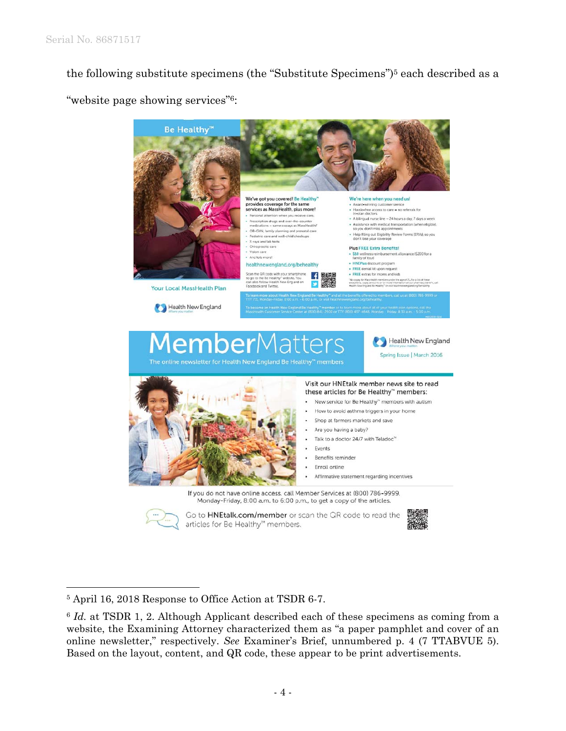the following substitute specimens (the "Substitute Specimens")5 each described as a

"website page showing services"6:



1

<sup>5</sup> April 16, 2018 Response to Office Action at TSDR 6-7.

<sup>&</sup>lt;sup>6</sup> *Id.* at TSDR 1, 2. Although Applicant described each of these specimens as coming from a website, the Examining Attorney characterized them as "a paper pamphlet and cover of an online newsletter," respectively. *See* Examiner's Brief, unnumbered p. 4 (7 TTABVUE 5). Based on the layout, content, and QR code, these appear to be print advertisements.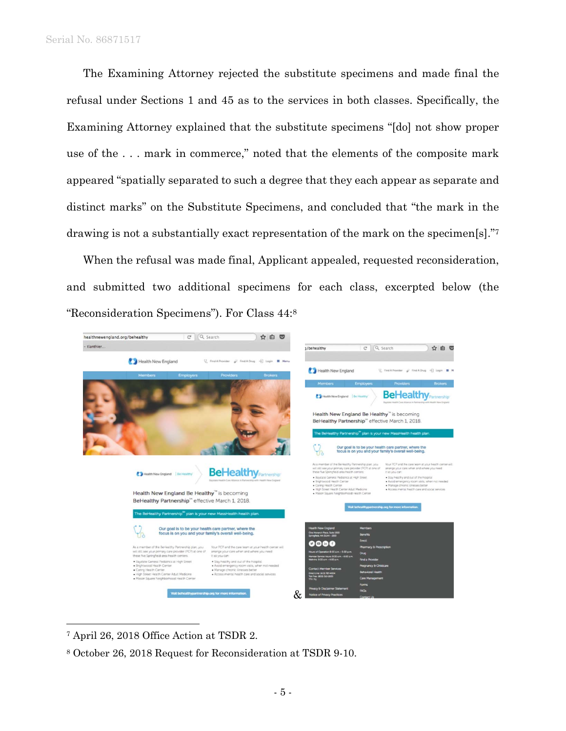#### Serial No. 86871517

The Examining Attorney rejected the substitute specimens and made final the refusal under Sections 1 and 45 as to the services in both classes. Specifically, the Examining Attorney explained that the substitute specimens "[do] not show proper use of the . . . mark in commerce," noted that the elements of the composite mark appeared "spatially separated to such a degree that they each appear as separate and distinct marks" on the Substitute Specimens, and concluded that "the mark in the drawing is not a substantially exact representation of the mark on the specimen[s]."7

When the refusal was made final, Applicant appealed, requested reconsideration, and submitted two additional specimens for each class, excerpted below (the "Reconsideration Specimens"). For Class 44:8



7 April 26, 2018 Office Action at TSDR 2.

 $\overline{a}$ 

8 October 26, 2018 Request for Reconsideration at TSDR 9-10.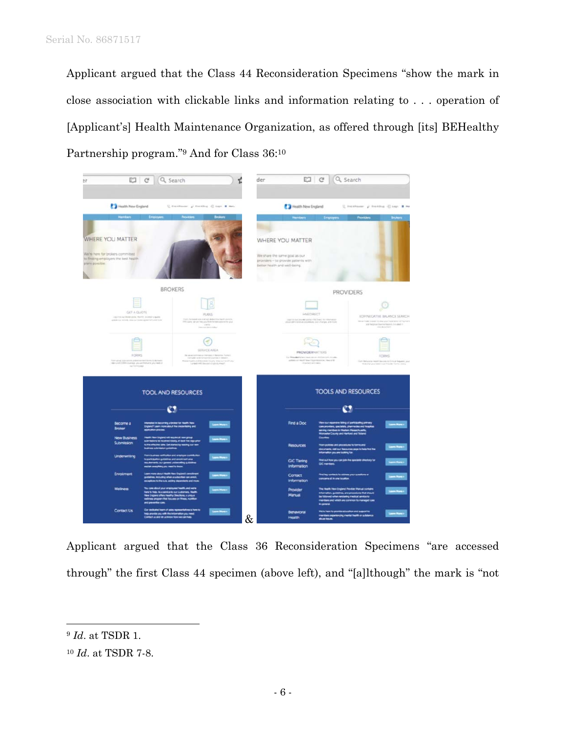Applicant argued that the Class 44 Reconsideration Specimens "show the mark in close association with clickable links and information relating to . . . operation of [Applicant's] Health Maintenance Organization, as offered through [its] BEHealthy Partnership program."9 And for Class 36:10



Applicant argued that the Class 36 Reconsideration Specimens "are accessed through" the first Class 44 specimen (above left), and "[a]lthough" the mark is "not

 $\overline{a}$ 

<sup>9</sup> *Id*. at TSDR 1.

<sup>10</sup> *Id*. at TSDR 7-8.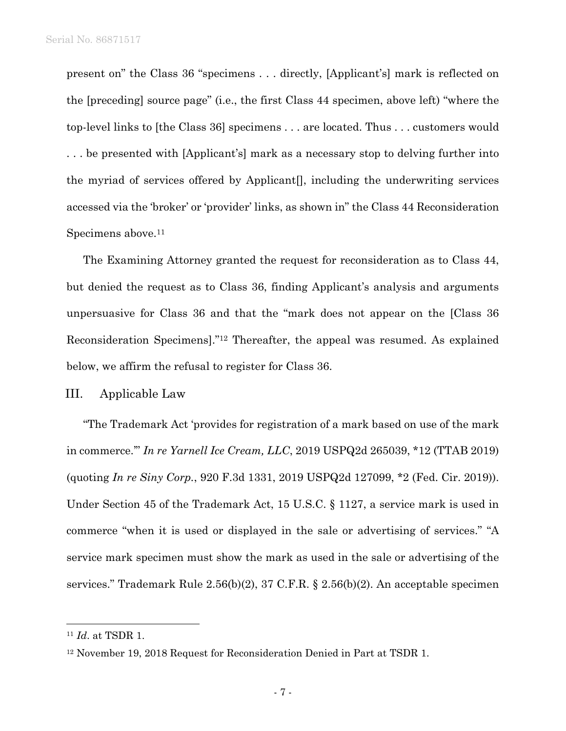present on" the Class 36 "specimens . . . directly, [Applicant's] mark is reflected on the [preceding] source page" (i.e., the first Class 44 specimen, above left) "where the top-level links to [the Class 36] specimens . . . are located. Thus . . . customers would . . . be presented with [Applicant's] mark as a necessary stop to delving further into the myriad of services offered by Applicant[], including the underwriting services accessed via the 'broker' or 'provider' links, as shown in" the Class 44 Reconsideration Specimens above.<sup>11</sup>

The Examining Attorney granted the request for reconsideration as to Class 44, but denied the request as to Class 36, finding Applicant's analysis and arguments unpersuasive for Class 36 and that the "mark does not appear on the [Class 36 Reconsideration Specimens]."12 Thereafter, the appeal was resumed. As explained below, we affirm the refusal to register for Class 36.

### III. Applicable Law

"The Trademark Act 'provides for registration of a mark based on use of the mark in commerce.'" *In re Yarnell Ice Cream, LLC*, 2019 USPQ2d 265039, \*12 (TTAB 2019) (quoting *In re Siny Corp.*, 920 F.3d 1331, 2019 USPQ2d 127099, \*2 (Fed. Cir. 2019)). Under Section 45 of the Trademark Act, 15 U.S.C. § 1127, a service mark is used in commerce "when it is used or displayed in the sale or advertising of services." "A service mark specimen must show the mark as used in the sale or advertising of the services." Trademark Rule 2.56(b)(2), 37 C.F.R. § 2.56(b)(2). An acceptable specimen

 $\overline{a}$ 

<sup>11</sup> *Id*. at TSDR 1.

<sup>12</sup> November 19, 2018 Request for Reconsideration Denied in Part at TSDR 1.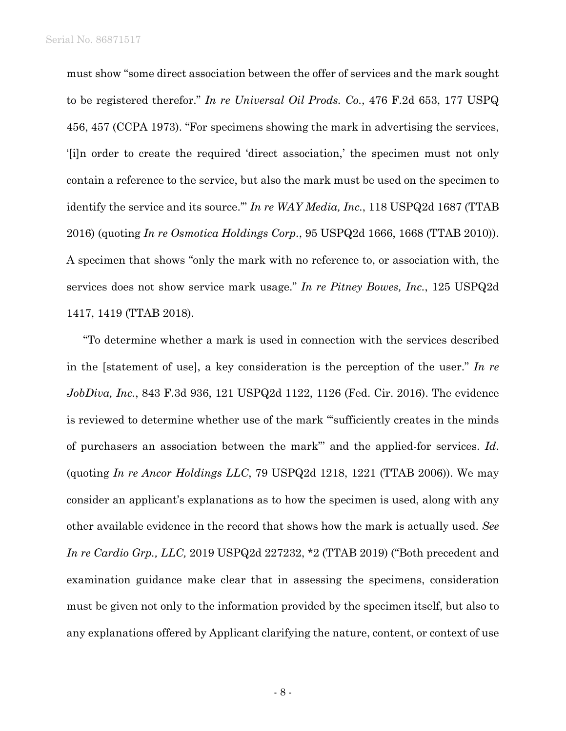must show "some direct association between the offer of services and the mark sought to be registered therefor." *In re Universal Oil Prods. Co.*, 476 F.2d 653, 177 USPQ 456, 457 (CCPA 1973). "For specimens showing the mark in advertising the services, '[i]n order to create the required 'direct association,' the specimen must not only contain a reference to the service, but also the mark must be used on the specimen to identify the service and its source.'" *In re WAY Media, Inc.*, 118 USPQ2d 1687 (TTAB 2016) (quoting *In re Osmotica Holdings Corp.*, 95 USPQ2d 1666, 1668 (TTAB 2010)). A specimen that shows "only the mark with no reference to, or association with, the services does not show service mark usage." *In re Pitney Bowes, Inc.*, 125 USPQ2d 1417, 1419 (TTAB 2018).

"To determine whether a mark is used in connection with the services described in the [statement of use], a key consideration is the perception of the user." *In re JobDiva, Inc.*, 843 F.3d 936, 121 USPQ2d 1122, 1126 (Fed. Cir. 2016). The evidence is reviewed to determine whether use of the mark "'sufficiently creates in the minds of purchasers an association between the mark"' and the applied-for services. *Id*. (quoting *In re Ancor Holdings LLC*, 79 USPQ2d 1218, 1221 (TTAB 2006)). We may consider an applicant's explanations as to how the specimen is used, along with any other available evidence in the record that shows how the mark is actually used. *See In re Cardio Grp., LLC,* 2019 USPQ2d 227232, \*2 (TTAB 2019) ("Both precedent and examination guidance make clear that in assessing the specimens, consideration must be given not only to the information provided by the specimen itself, but also to any explanations offered by Applicant clarifying the nature, content, or context of use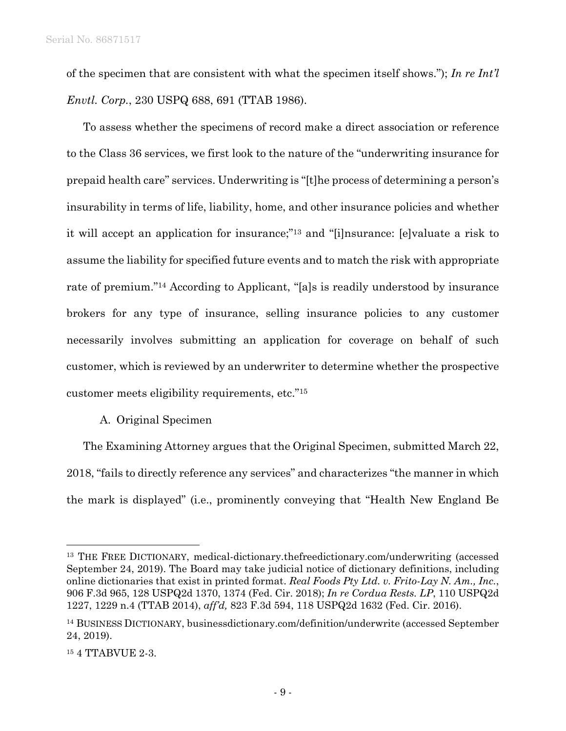of the specimen that are consistent with what the specimen itself shows."); *In re Int'l Envtl. Corp.*, 230 USPQ 688, 691 (TTAB 1986).

To assess whether the specimens of record make a direct association or reference to the Class 36 services, we first look to the nature of the "underwriting insurance for prepaid health care" services. Underwriting is "[t]he process of determining a person's insurability in terms of life, liability, home, and other insurance policies and whether it will accept an application for insurance;"13 and "[i]nsurance: [e]valuate a risk to assume the liability for specified future events and to match the risk with appropriate rate of premium."14 According to Applicant, "[a]s is readily understood by insurance brokers for any type of insurance, selling insurance policies to any customer necessarily involves submitting an application for coverage on behalf of such customer, which is reviewed by an underwriter to determine whether the prospective customer meets eligibility requirements, etc."15

## A. Original Specimen

The Examining Attorney argues that the Original Specimen, submitted March 22, 2018, "fails to directly reference any services" and characterizes "the manner in which the mark is displayed" (i.e., prominently conveying that "Health New England Be

1

<sup>13</sup> THE FREE DICTIONARY, medical-dictionary.thefreedictionary.com/underwriting (accessed September 24, 2019). The Board may take judicial notice of dictionary definitions, including online dictionaries that exist in printed format. *Real Foods Pty Ltd. v. Frito-Lay N. Am., Inc.*, 906 F.3d 965, 128 USPQ2d 1370, 1374 (Fed. Cir. 2018); *In re Cordua Rests. LP*, 110 USPQ2d 1227, 1229 n.4 (TTAB 2014), *aff'd,* 823 F.3d 594, 118 USPQ2d 1632 (Fed. Cir. 2016).

<sup>14</sup> BUSINESS DICTIONARY, businessdictionary.com/definition/underwrite (accessed September 24, 2019).

<sup>15 4</sup> TTABVUE 2-3.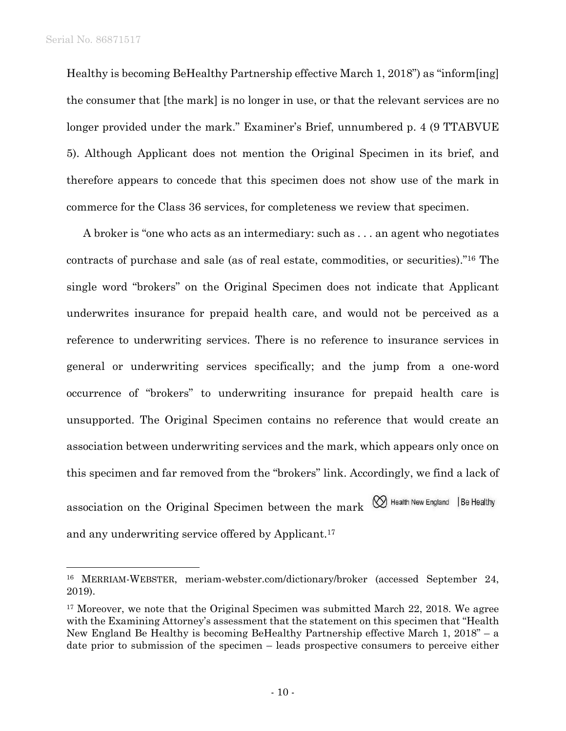$\overline{a}$ 

Healthy is becoming BeHealthy Partnership effective March 1, 2018") as "inform[ing] the consumer that [the mark] is no longer in use, or that the relevant services are no longer provided under the mark." Examiner's Brief, unnumbered p. 4 (9 TTABVUE 5). Although Applicant does not mention the Original Specimen in its brief, and therefore appears to concede that this specimen does not show use of the mark in commerce for the Class 36 services, for completeness we review that specimen.

A broker is "one who acts as an intermediary: such as . . . an agent who negotiates contracts of purchase and sale (as of real estate, commodities, or securities)."16 The single word "brokers" on the Original Specimen does not indicate that Applicant underwrites insurance for prepaid health care, and would not be perceived as a reference to underwriting services. There is no reference to insurance services in general or underwriting services specifically; and the jump from a one-word occurrence of "brokers" to underwriting insurance for prepaid health care is unsupported. The Original Specimen contains no reference that would create an association between underwriting services and the mark, which appears only once on this specimen and far removed from the "brokers" link. Accordingly, we find a lack of association on the Original Specimen between the mark  $\bigotimes$  Health New England | Be Healthy and any underwriting service offered by Applicant.17

<sup>16</sup> MERRIAM-WEBSTER, meriam-webster.com/dictionary/broker (accessed September 24, 2019).

<sup>&</sup>lt;sup>17</sup> Moreover, we note that the Original Specimen was submitted March 22, 2018. We agree with the Examining Attorney's assessment that the statement on this specimen that "Health New England Be Healthy is becoming BeHealthy Partnership effective March 1, 2018" – a date prior to submission of the specimen – leads prospective consumers to perceive either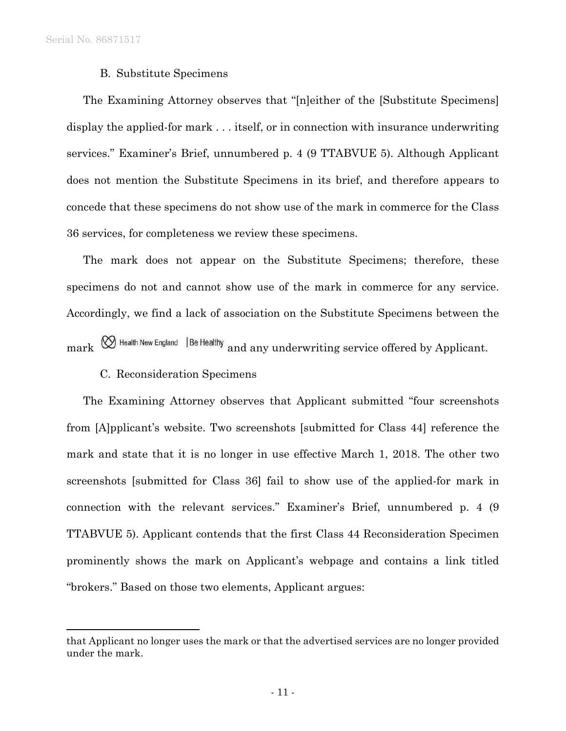$\overline{a}$ 

### B. Substitute Specimens

The Examining Attorney observes that "[n]either of the [Substitute Specimens] display the applied-for mark . . . itself, or in connection with insurance underwriting services." Examiner's Brief, unnumbered p. 4 (9 TTABVUE 5). Although Applicant does not mention the Substitute Specimens in its brief, and therefore appears to concede that these specimens do not show use of the mark in commerce for the Class 36 services, for completeness we review these specimens.

The mark does not appear on the Substitute Specimens; therefore, these specimens do not and cannot show use of the mark in commerce for any service. Accordingly, we find a lack of association on the Substitute Specimens between the  $mark \otimes$  Health New England | Be Healthy and any underwriting service offered by Applicant.

### C. Reconsideration Specimens

The Examining Attorney observes that Applicant submitted "four screenshots from [A]pplicant's website. Two screenshots [submitted for Class 44] reference the mark and state that it is no longer in use effective March 1, 2018. The other two screenshots [submitted for Class 36] fail to show use of the applied-for mark in connection with the relevant services." Examiner's Brief, unnumbered p. 4 (9 TTABVUE 5). Applicant contends that the first Class 44 Reconsideration Specimen prominently shows the mark on Applicant's webpage and contains a link titled "brokers." Based on those two elements, Applicant argues:

that Applicant no longer uses the mark or that the advertised services are no longer provided under the mark.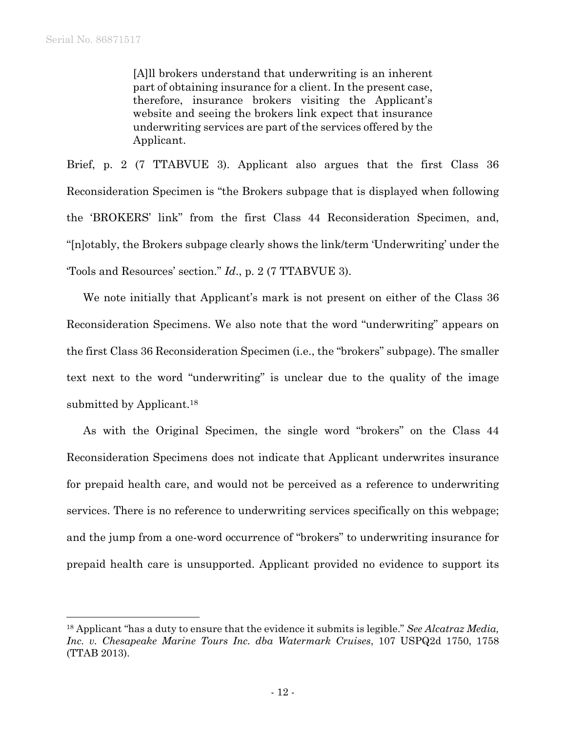$\overline{a}$ 

[A]ll brokers understand that underwriting is an inherent part of obtaining insurance for a client. In the present case, therefore, insurance brokers visiting the Applicant's website and seeing the brokers link expect that insurance underwriting services are part of the services offered by the Applicant.

Brief, p. 2 (7 TTABVUE 3). Applicant also argues that the first Class 36 Reconsideration Specimen is "the Brokers subpage that is displayed when following the 'BROKERS' link" from the first Class 44 Reconsideration Specimen, and, "[n]otably, the Brokers subpage clearly shows the link/term 'Underwriting' under the 'Tools and Resources' section." *Id*., p. 2 (7 TTABVUE 3).

We note initially that Applicant's mark is not present on either of the Class 36 Reconsideration Specimens. We also note that the word "underwriting" appears on the first Class 36 Reconsideration Specimen (i.e., the "brokers" subpage). The smaller text next to the word "underwriting" is unclear due to the quality of the image submitted by Applicant.<sup>18</sup>

As with the Original Specimen, the single word "brokers" on the Class 44 Reconsideration Specimens does not indicate that Applicant underwrites insurance for prepaid health care, and would not be perceived as a reference to underwriting services. There is no reference to underwriting services specifically on this webpage; and the jump from a one-word occurrence of "brokers" to underwriting insurance for prepaid health care is unsupported. Applicant provided no evidence to support its

<sup>18</sup> Applicant "has a duty to ensure that the evidence it submits is legible." *See Alcatraz Media, Inc. v. Chesapeake Marine Tours Inc. dba Watermark Cruises*, 107 USPQ2d 1750, 1758 (TTAB 2013).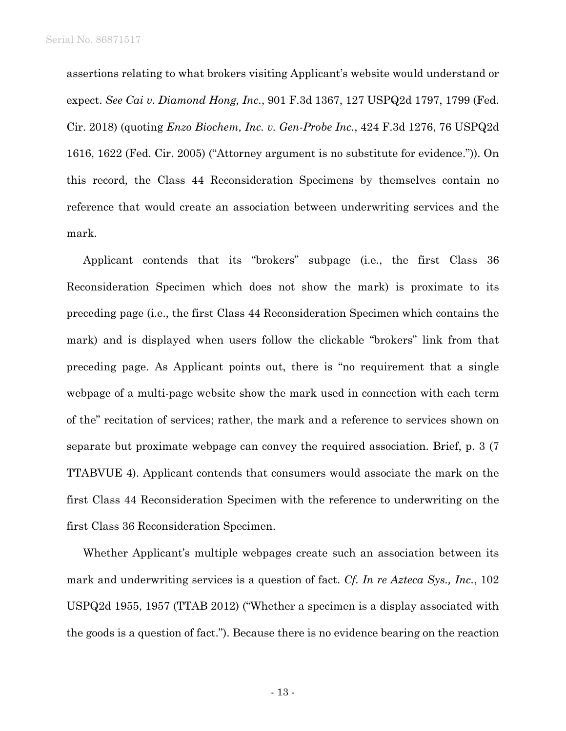assertions relating to what brokers visiting Applicant's website would understand or expect. *See Cai v. Diamond Hong, Inc.*, 901 F.3d 1367, 127 USPQ2d 1797, 1799 (Fed. Cir. 2018) (quoting *Enzo Biochem, Inc. v. Gen-Probe Inc.*, 424 F.3d 1276, 76 USPQ2d 1616, 1622 (Fed. Cir. 2005) ("Attorney argument is no substitute for evidence.")). On this record, the Class 44 Reconsideration Specimens by themselves contain no reference that would create an association between underwriting services and the mark.

Applicant contends that its "brokers" subpage (i.e., the first Class 36 Reconsideration Specimen which does not show the mark) is proximate to its preceding page (i.e., the first Class 44 Reconsideration Specimen which contains the mark) and is displayed when users follow the clickable "brokers" link from that preceding page. As Applicant points out, there is "no requirement that a single webpage of a multi-page website show the mark used in connection with each term of the" recitation of services; rather, the mark and a reference to services shown on separate but proximate webpage can convey the required association. Brief, p. 3 (7 TTABVUE 4). Applicant contends that consumers would associate the mark on the first Class 44 Reconsideration Specimen with the reference to underwriting on the first Class 36 Reconsideration Specimen.

Whether Applicant's multiple webpages create such an association between its mark and underwriting services is a question of fact. *Cf. In re Azteca Sys., Inc.*, 102 USPQ2d 1955, 1957 (TTAB 2012) ("Whether a specimen is a display associated with the goods is a question of fact."). Because there is no evidence bearing on the reaction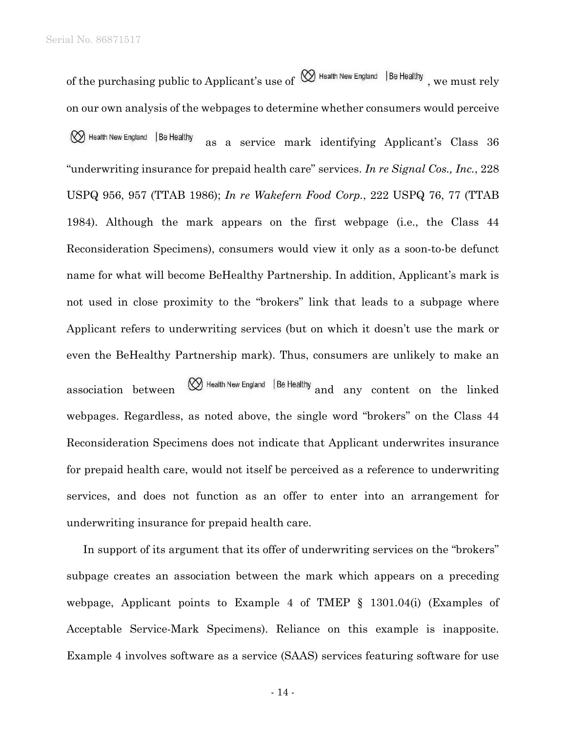of the purchasing public to Applicant's use of  $\bigotimes$  Health New England |Be Healthy, we must rely on our own analysis of the webpages to determine whether consumers would perceive (V) Health New England | Be Healthy as a service mark identifying Applicant's Class 36 "underwriting insurance for prepaid health care" services. *In re Signal Cos., Inc.*, 228 USPQ 956, 957 (TTAB 1986); *In re Wakefern Food Corp.*, 222 USPQ 76, 77 (TTAB 1984). Although the mark appears on the first webpage (i.e., the Class 44 Reconsideration Specimens), consumers would view it only as a soon-to-be defunct name for what will become BeHealthy Partnership. In addition, Applicant's mark is not used in close proximity to the "brokers" link that leads to a subpage where Applicant refers to underwriting services (but on which it doesn't use the mark or even the BeHealthy Partnership mark). Thus, consumers are unlikely to make an association between  $\bigotimes$  Health New England | Be Healthy and any content on the linked webpages. Regardless, as noted above, the single word "brokers" on the Class 44 Reconsideration Specimens does not indicate that Applicant underwrites insurance for prepaid health care, would not itself be perceived as a reference to underwriting services, and does not function as an offer to enter into an arrangement for underwriting insurance for prepaid health care.

In support of its argument that its offer of underwriting services on the "brokers" subpage creates an association between the mark which appears on a preceding webpage, Applicant points to Example 4 of TMEP § 1301.04(i) (Examples of Acceptable Service-Mark Specimens). Reliance on this example is inapposite. Example 4 involves software as a service (SAAS) services featuring software for use

- 14 -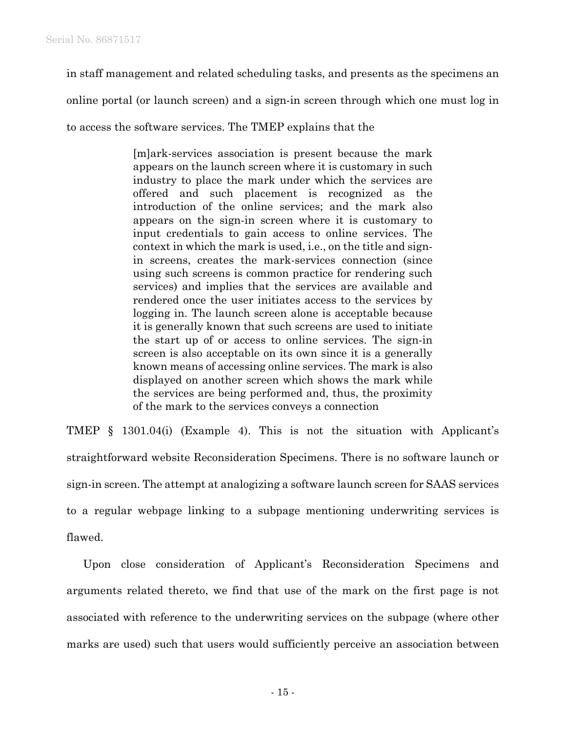in staff management and related scheduling tasks, and presents as the specimens an

online portal (or launch screen) and a sign-in screen through which one must log in

to access the software services. The TMEP explains that the

[m]ark-services association is present because the mark appears on the launch screen where it is customary in such industry to place the mark under which the services are offered and such placement is recognized as the introduction of the online services; and the mark also appears on the sign-in screen where it is customary to input credentials to gain access to online services. The context in which the mark is used, i.e., on the title and signin screens, creates the mark-services connection (since using such screens is common practice for rendering such services) and implies that the services are available and rendered once the user initiates access to the services by logging in. The launch screen alone is acceptable because it is generally known that such screens are used to initiate the start up of or access to online services. The sign-in screen is also acceptable on its own since it is a generally known means of accessing online services. The mark is also displayed on another screen which shows the mark while the services are being performed and, thus, the proximity of the mark to the services conveys a connection

TMEP § 1301.04(i) (Example 4). This is not the situation with Applicant's straightforward website Reconsideration Specimens. There is no software launch or sign-in screen. The attempt at analogizing a software launch screen for SAAS services to a regular webpage linking to a subpage mentioning underwriting services is flawed.

Upon close consideration of Applicant's Reconsideration Specimens and arguments related thereto, we find that use of the mark on the first page is not associated with reference to the underwriting services on the subpage (where other marks are used) such that users would sufficiently perceive an association between